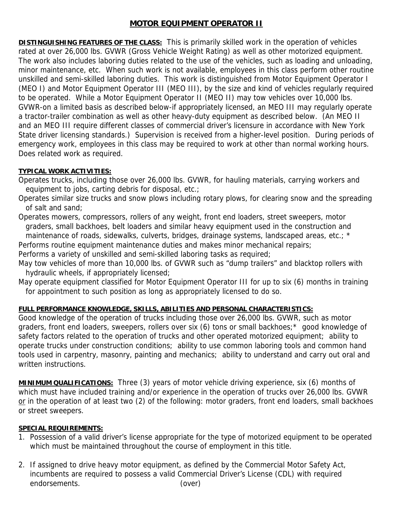## **MOTOR EQUIPMENT OPERATOR II**

**DISTINGUISHING FEATURES OF THE CLASS:** This is primarily skilled work in the operation of vehicles rated at over 26,000 lbs. GVWR (Gross Vehicle Weight Rating) as well as other motorized equipment. The work also includes laboring duties related to the use of the vehicles, such as loading and unloading, minor maintenance, etc. When such work is not available, employees in this class perform other routine unskilled and semi-skilled laboring duties. This work is distinguished from Motor Equipment Operator I (MEO I) and Motor Equipment Operator III (MEO III), by the size and kind of vehicles regularly required to be operated. While a Motor Equipment Operator II (MEO II) may tow vehicles over 10,000 lbs. GVWR-on a limited basis as described below-if appropriately licensed, an MEO III may regularly operate a tractor-trailer combination as well as other heavy-duty equipment as described below. (An MEO II and an MEO III require different classes of commercial driver's licensure in accordance with New York State driver licensing standards.) Supervision is received from a higher-level position. During periods of emergency work, employees in this class may be required to work at other than normal working hours. Does related work as required.

## **TYPICAL WORK ACTIVITIES:**

Operates trucks, including those over 26,000 lbs. GVWR, for hauling materials, carrying workers and equipment to jobs, carting debris for disposal, etc.;

Operates similar size trucks and snow plows including rotary plows, for clearing snow and the spreading of salt and sand;

Operates mowers, compressors, rollers of any weight, front end loaders, street sweepers, motor graders, small backhoes, belt loaders and similar heavy equipment used in the construction and maintenance of roads, sidewalks, culverts, bridges, drainage systems, landscaped areas, etc.; \*

Performs routine equipment maintenance duties and makes minor mechanical repairs;

Performs a variety of unskilled and semi-skilled laboring tasks as required;

May tow vehicles of more than 10,000 lbs. of GVWR such as "dump trailers" and blacktop rollers with hydraulic wheels, if appropriately licensed;

May operate equipment classified for Motor Equipment Operator III for up to six (6) months in training for appointment to such position as long as appropriately licensed to do so.

## **FULL PERFORMANCE KNOWLEDGE, SKILLS, ABILITIES AND PERSONAL CHARACTERISTICS:**

Good knowledge of the operation of trucks including those over 26,000 lbs. GVWR, such as motor graders, front end loaders, sweepers, rollers over six (6) tons or small backhoes;\* good knowledge of safety factors related to the operation of trucks and other operated motorized equipment; ability to operate trucks under construction conditions; ability to use common laboring tools and common hand tools used in carpentry, masonry, painting and mechanics; ability to understand and carry out oral and written instructions.

**MINIMUM QUALIFICATIONS:** Three (3) years of motor vehicle driving experience, six (6) months of which must have included training and/or experience in the operation of trucks over 26,000 lbs. GVWR or in the operation of at least two (2) of the following: motor graders, front end loaders, small backhoes or street sweepers.

## **SPECIAL REQUIREMENTS:**

- 1. Possession of a valid driver's license appropriate for the type of motorized equipment to be operated which must be maintained throughout the course of employment in this title.
- 2. If assigned to drive heavy motor equipment, as defined by the Commercial Motor Safety Act, incumbents are required to possess a valid Commercial Driver's License (CDL) with required endorsements. (over)